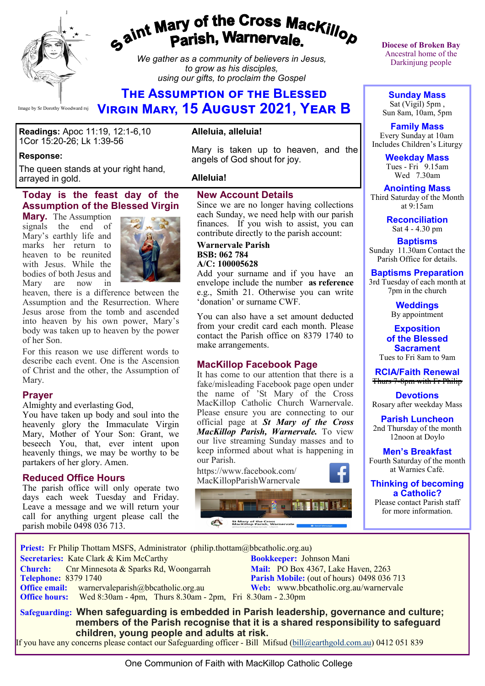

# gaint Mary of the Cross Mackillop<br>g<sup>aint</sup> Parish, Warnervale.

*We gather as a community of believers in Jesus, to grow as his disciples, using our gifts, to proclaim the Gospel*

# **The Assumption of the Blessed Virgin Mary, 15 August 2021, Year B**

**Readings:** Apoc 11:19, 12:1-6,10 1Cor 15:20-26; Lk 1:39-56

#### **Response:**

The queen stands at your right hand, arrayed in gold.

#### **Today is the feast day of the Assumption of the Blessed Virgin**

**Mary.** The Assumption signals the end of Mary's earthly life and marks her return to heaven to be reunited with Jesus. While the bodies of both Jesus and Mary are now in



heaven, there is a difference between the Assumption and the Resurrection. Where Jesus arose from the tomb and ascended into heaven by his own power, Mary's body was taken up to heaven by the power of her Son.

For this reason we use different words to describe each event. One is the Ascension of Christ and the other, the Assumption of Mary.

#### **Prayer**

Almighty and everlasting God,

You have taken up body and soul into the heavenly glory the Immaculate Virgin Mary, Mother of Your Son: Grant, we beseech You, that, ever intent upon heavenly things, we may be worthy to be partakers of her glory. Amen.

#### **Reduced Office Hours**

The parish office will only operate two days each week Tuesday and Friday. Leave a message and we will return your call for anything urgent please call the parish mobile 0498 036 713.

#### **Alleluia, alleluia!**

Mary is taken up to heaven, and the angels of God shout for joy.

#### **Alleluia!**

#### **New Account Details**

Since we are no longer having collections each Sunday, we need help with our parish finances. If you wish to assist, you can contribute directly to the parish account:

#### **Warnervale Parish BSB: 062 784 A/C: 100005628**

Add your surname and if you have an envelope include the number **as reference**  e.g., Smith 21. Otherwise you can write 'donation' or surname CWF.

You can also have a set amount deducted from your credit card each month. Please contact the Parish office on 8379 1740 to make arrangements.

#### **MacKillop Facebook Page**

It has come to our attention that there is a fake/misleading Facebook page open under the name of 'St Mary of the Cross MacKillop Catholic Church Warnervale. Please ensure you are connecting to our official page at *St Mary of the Cross MacKillop Parish, Warnervale.* To view our live streaming Sunday masses and to keep informed about what is happening in our Parish.

https://www.facebook.com/ MacKillopParishWarnervale



**Diocese of Broken Bay**  Ancestral home of the Darkinjung people

**Sunday Mass** Sat (Vigil) 5pm , Sun 8am, 10am, 5pm

**Family Mass**  Every Sunday at 10am Includes Children's Liturgy

> **Weekday Mass** Tues - Fri 9.15am Wed 7.30am

**Anointing Mass** Third Saturday of the Month at 9:15am

> **Reconciliation** Sat 4 - 4.30 pm

**Baptisms** Sunday 11.30am Contact the Parish Office for details.

### **Baptisms Preparation**

3rd Tuesday of each month at 7pm in the church

> **Weddings**  By appointment

**Exposition of the Blessed Sacrament** Tues to Fri 8am to 9am

**RCIA/Faith Renewal**  Thurs 7-8pm with Fr Philip

**Devotions** Rosary after weekday Mass

**Parish Luncheon** 2nd Thursday of the month 12noon at Doylo

**Men's Breakfast** Fourth Saturday of the month at Warnies Café.

**Thinking of becoming a Catholic?**

Please contact Parish staff for more information.

**Priest:** Fr Philip Thottam MSFS, Administrator (philip.thottam@bbcatholic.org.au)

 **Secretaries:** Kate Clark & Kim McCarthy **Bookkeeper:** Johnson Mani

**Church:** Cnr Minnesota & Sparks Rd, Woongarrah **Mail:** PO Box 4367, Lake Haven, 2263<br> **Telephone:** 8379 1740 **Parish Mobile:** (out of hours) 0498 036 **Office email:** warnervaleparish@bbcatholic.org.au **Web:** [www.bbcatholic.org.au/warnervale](https://www.bbcatholic.org.au/warnervale)  **Office hours:** Wed 8:30am - 4pm, Thurs 8.30am - 2pm, Fri 8.30am - 2.30pm

**Parish Mobile:** (out of hours) 0498 036 713

 **Safeguarding: When safeguarding is embedded in Parish leadership, governance and culture; members of the Parish recognise that it is a shared responsibility to safeguard children, young people and adults at risk.**

If you have any concerns please contact our Safeguarding officer - Bill Mifsud ([bill@earthgold.com.au\)](mailto:bill@earthgold.com.au) 0412 051 839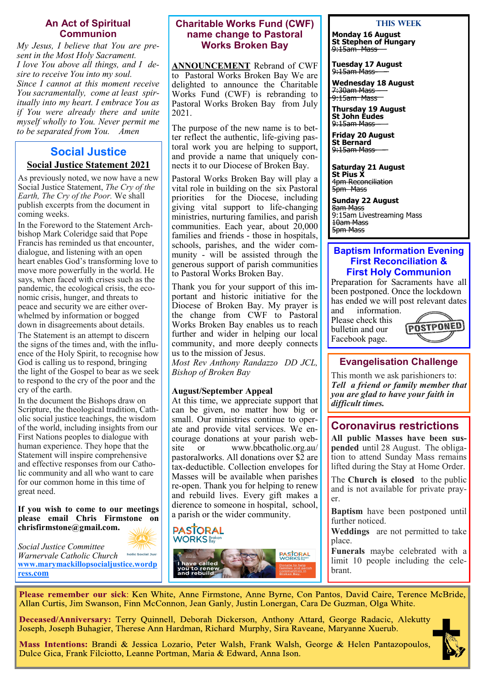#### **An Act of Spiritual Communion**

*My Jesus, I believe that You are present in the Most Holy Sacrament. I love You above all things, and I desire to receive You into my soul. Since I cannot at this moment receive You sacramentally, come at least spiritually into my heart. I embrace You as if You were already there and unite myself wholly to You. Never permit me to be separated from You. Amen*

## **Social Justice Social Justice Statement 2021**

As previously noted, we now have a new Social Justice Statement, *The Cry of the Earth, The Cry of the Poor.* We shall publish excerpts from the document in coming weeks.

In the Foreword to the Statement Archbishop Mark Coleridge said that Pope Francis has reminded us that encounter, dialogue, and listening with an open heart enables God's transforming love to move more powerfully in the world. He says, when faced with crises such as the pandemic, the ecological crisis, the economic crisis, hunger, and threats to peace and security we are either overwhelmed by information or bogged down in disagreements about details.

The Statement is an attempt to discern the signs of the times and, with the influence of the Holy Spirit, to recognise how God is calling us to respond, bringing the light of the Gospel to bear as we seek to respond to the cry of the poor and the cry of the earth.

In the document the Bishops draw on Scripture, the theological tradition, Catholic social justice teachings, the wisdom of the world, including insights from our First Nations peoples to dialogue with human experience. They hope that the Statement will inspire comprehensive and effective responses from our Catholic community and all who want to care for our common home in this time of great need.

**If you wish to come to our meetings please email Chris Firmstone on chrisfirmstone@gmail.com.**



*Social Justice Committee Warnervale Catholic Church*  holic Social Just **[www.marymackillopsocialjustice.wordp](http://www.marymackillopsocialjustice.wordpress.com) ress[.com](http://www.marymackillopsocialjustice.wordpress.com)**

#### **Charitable Works Fund (CWF) name change to Pastoral Works Broken Bay**

**ANNOUNCEMENT** Rebrand of CWF to Pastoral Works Broken Bay We are delighted to announce the Charitable Works Fund (CWF) is rebranding to Pastoral Works Broken Bay from July 2021.

The purpose of the new name is to better reflect the authentic, life-giving pastoral work you are helping to support, and provide a name that uniquely connects it to our Diocese of Broken Bay.

Pastoral Works Broken Bay will play a vital role in building on the six Pastoral priorities for the Diocese, including giving vital support to life-changing ministries, nurturing families, and parish communities. Each year, about 20,000 families and friends - those in hospitals, schools, parishes, and the wider community - will be assisted through the generous support of parish communities to Pastoral Works Broken Bay.

Thank you for your support of this important and historic initiative for the Diocese of Broken Bay. My prayer is the change from CWF to Pastoral Works Broken Bay enables us to reach further and wider in helping our local community, and more deeply connects us to the mission of Jesus.

*Most Rev Anthony Randazzo DD JCL, Bishop of Broken Bay* 

#### **August/September Appeal**

At this time, we appreciate support that can be given, no matter how big or small. Our ministries continue to operate and provide vital services. We encourage donations at your parish website or www.bbcatholic.org.au/ pastoralworks. All donations over \$2 are tax-deductible. Collection envelopes for Masses will be available when parishes re-open. Thank you for helping to renew and rebuild lives. Every gift makes a dierence to someone in hospital, school, a parish or the wider community.



#### **This Week**

**Monday 16 August St Stephen of Hungary** 9:15am Mass

**Tuesday 17 August** 9:15am Mass

**Wednesday 18 August** 7:30am Mass 9:15am Mass

**Thursday 19 August St John Eudes** 9:15am Mass

**Friday 20 August St Bernard** 9:15am Mass

**Saturday 21 August St Pius X**

4pm Reconciliation 5pm Mass

**Sunday 22 August** 8am Mass 9:15am Livestreaming Mass 10am Mass 5pm Mass

#### **Baptism Information Evening First Reconciliation & First Holy Communion**

Preparation for Sacraments have all been postponed. Once the lockdown has ended we will post relevant dates and information.

Please check this bulletin and our Facebook page.



## **Evangelisation Challenge**

This month we ask parishioners to: *Tell a friend or family member that you are glad to have your faith in difficult times.* 

## **Coronavirus restrictions**

**All public Masses have been suspended** until 28 August. The obligation to attend Sunday Mass remains lifted during the Stay at Home Order.

The **Church is closed** to the public and is not available for private prayer.

**Baptism** have been postponed until further noticed.

**Weddings** are not permitted to take place.

**Funerals** maybe celebrated with a limit 10 people including the celebrant.

Please remember our sick: Ken White, Anne Firmstone, Anne Byrne, Con Pantos, David Caire, Terence McBride, Allan Curtis, Jim Swanson, Finn McConnon, Jean Ganly, Justin Lonergan, Cara De Guzman, Olga White.

Deceased/Anniversary: Terry Quinnell, Deborah Dickerson, Anthony Attard, George Radacic, Alekutty Joseph, Joseph Buhagier, Therese Ann Hardman, Richard Murphy, Sira Raveane, Maryanne Xuerub.

Mass Intentions: Brandi & Jessica Lozario, Peter Walsh, Frank Walsh, George & Helen Pantazopoulos, Dulce Gica, Frank Filciotto, Leanne Portman, Maria & Edward, Anna Ison.

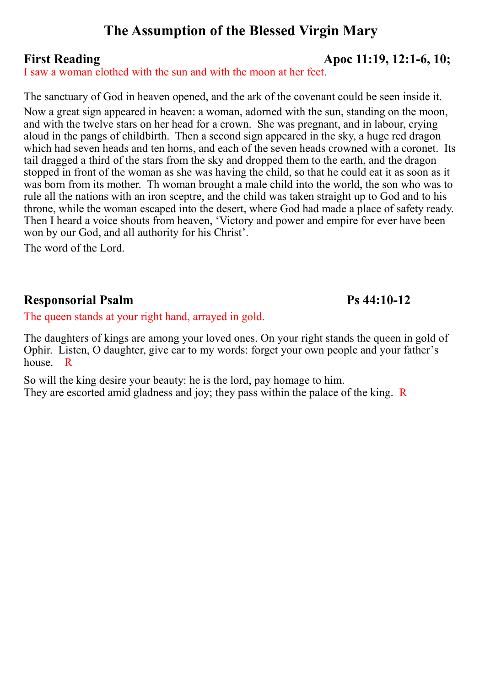# **The Assumption of the Blessed Virgin Mary**

# **First Reading Apoc 11:19, 12:1-6, 10;**

I saw a woman clothed with the sun and with the moon at her feet.

The sanctuary of God in heaven opened, and the ark of the covenant could be seen inside it. Now a great sign appeared in heaven: a woman, adorned with the sun, standing on the moon, and with the twelve stars on her head for a crown. She was pregnant, and in labour, crying aloud in the pangs of childbirth. Then a second sign appeared in the sky, a huge red dragon which had seven heads and ten horns, and each of the seven heads crowned with a coronet. Its tail dragged a third of the stars from the sky and dropped them to the earth, and the dragon stopped in front of the woman as she was having the child, so that he could eat it as soon as it was born from its mother. Th woman brought a male child into the world, the son who was to rule all the nations with an iron sceptre, and the child was taken straight up to God and to his throne, while the woman escaped into the desert, where God had made a place of safety ready. Then I heard a voice shouts from heaven, 'Victory and power and empire for ever have been won by our God, and all authority for his Christ'.

The word of the Lord.

# **Responsorial Psalm Ps 44:10-12**

The queen stands at your right hand, arrayed in gold.

The daughters of kings are among your loved ones. On your right stands the queen in gold of Ophir. Listen, O daughter, give ear to my words: forget your own people and your father's house. R

So will the king desire your beauty: he is the lord, pay homage to him. They are escorted amid gladness and joy; they pass within the palace of the king. R